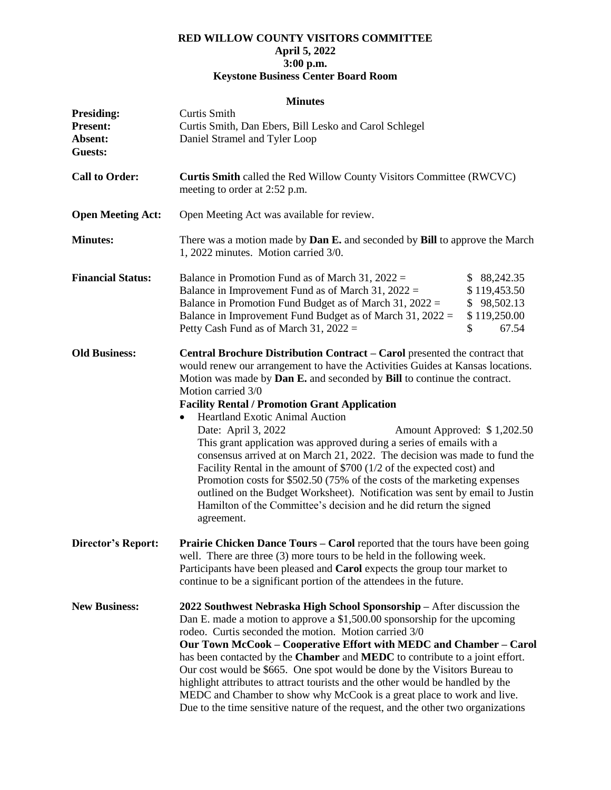## **RED WILLOW COUNTY VISITORS COMMITTEE April 5, 2022 3:00 p.m. Keystone Business Center Board Room**

## **Minutes**

| <b>Presiding:</b><br><b>Present:</b><br>Absent:<br><b>Guests:</b> | Curtis Smith<br>Curtis Smith, Dan Ebers, Bill Lesko and Carol Schlegel<br>Daniel Stramel and Tyler Loop                                                                                                                                                                                                                                                                                                                                                                                                                                                                                                                                                                                                                                                                                                                                                                                                         |                                                                            |  |
|-------------------------------------------------------------------|-----------------------------------------------------------------------------------------------------------------------------------------------------------------------------------------------------------------------------------------------------------------------------------------------------------------------------------------------------------------------------------------------------------------------------------------------------------------------------------------------------------------------------------------------------------------------------------------------------------------------------------------------------------------------------------------------------------------------------------------------------------------------------------------------------------------------------------------------------------------------------------------------------------------|----------------------------------------------------------------------------|--|
| <b>Call to Order:</b>                                             | Curtis Smith called the Red Willow County Visitors Committee (RWCVC)<br>meeting to order at 2:52 p.m.                                                                                                                                                                                                                                                                                                                                                                                                                                                                                                                                                                                                                                                                                                                                                                                                           |                                                                            |  |
| <b>Open Meeting Act:</b>                                          | Open Meeting Act was available for review.                                                                                                                                                                                                                                                                                                                                                                                                                                                                                                                                                                                                                                                                                                                                                                                                                                                                      |                                                                            |  |
| <b>Minutes:</b>                                                   | There was a motion made by Dan E. and seconded by Bill to approve the March<br>1, 2022 minutes. Motion carried 3/0.                                                                                                                                                                                                                                                                                                                                                                                                                                                                                                                                                                                                                                                                                                                                                                                             |                                                                            |  |
| <b>Financial Status:</b>                                          | Balance in Promotion Fund as of March 31, $2022 =$<br>Balance in Improvement Fund as of March 31, $2022 =$<br>Balance in Promotion Fund Budget as of March 31, $2022 =$<br>Balance in Improvement Fund Budget as of March 31, $2022 =$<br>Petty Cash Fund as of March 31, $2022 =$                                                                                                                                                                                                                                                                                                                                                                                                                                                                                                                                                                                                                              | \$ 88,242.35<br>\$119,453.50<br>\$98,502.13<br>\$119,250.00<br>\$<br>67.54 |  |
| <b>Old Business:</b>                                              | Central Brochure Distribution Contract - Carol presented the contract that<br>would renew our arrangement to have the Activities Guides at Kansas locations.<br>Motion was made by Dan E. and seconded by Bill to continue the contract.<br>Motion carried 3/0<br><b>Facility Rental / Promotion Grant Application</b><br><b>Heartland Exotic Animal Auction</b><br>$\bullet$<br>Date: April 3, 2022<br>Amount Approved: \$1,202.50<br>This grant application was approved during a series of emails with a<br>consensus arrived at on March 21, 2022. The decision was made to fund the<br>Facility Rental in the amount of \$700 (1/2 of the expected cost) and<br>Promotion costs for \$502.50 (75% of the costs of the marketing expenses<br>outlined on the Budget Worksheet). Notification was sent by email to Justin<br>Hamilton of the Committee's decision and he did return the signed<br>agreement. |                                                                            |  |
| <b>Director's Report:</b>                                         | <b>Prairie Chicken Dance Tours – Carol reported that the tours have been going</b><br>well. There are three $(3)$ more tours to be held in the following week.<br>Participants have been pleased and Carol expects the group tour market to<br>continue to be a significant portion of the attendees in the future.                                                                                                                                                                                                                                                                                                                                                                                                                                                                                                                                                                                             |                                                                            |  |
| <b>New Business:</b>                                              | 2022 Southwest Nebraska High School Sponsorship - After discussion the<br>Dan E. made a motion to approve a \$1,500.00 sponsorship for the upcoming<br>rodeo. Curtis seconded the motion. Motion carried 3/0<br>Our Town McCook - Cooperative Effort with MEDC and Chamber - Carol<br>has been contacted by the Chamber and MEDC to contribute to a joint effort.<br>Our cost would be \$665. One spot would be done by the Visitors Bureau to<br>highlight attributes to attract tourists and the other would be handled by the<br>MEDC and Chamber to show why McCook is a great place to work and live.<br>Due to the time sensitive nature of the request, and the other two organizations                                                                                                                                                                                                                  |                                                                            |  |